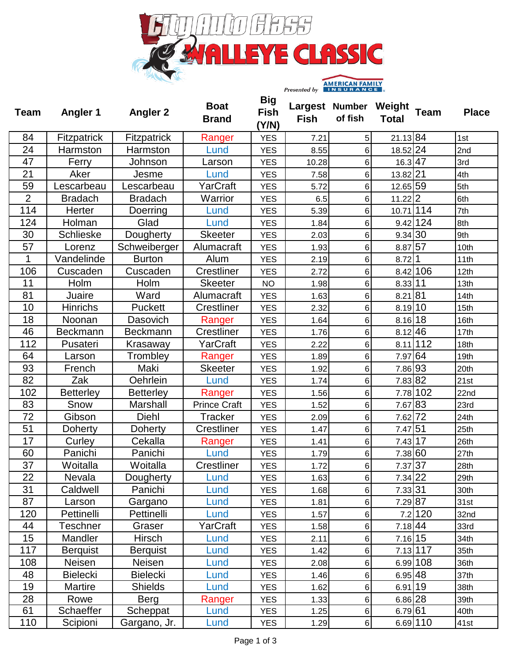

| <b>Team</b>    | <b>Angler 1</b>    | <b>Angler 2</b>  | <b>Boat</b><br><b>Brand</b> | <b>Big</b><br><b>Fish</b><br>(Y/N) | Largest Number<br><b>Fish</b> | of fish        | Weight<br><b>Total</b> | <b>Team</b> | <b>Place</b> |
|----------------|--------------------|------------------|-----------------------------|------------------------------------|-------------------------------|----------------|------------------------|-------------|--------------|
| 84             | <b>Fitzpatrick</b> | Fitzpatrick      | Ranger                      | <b>YES</b>                         | 7.21                          | 5              | 21.13 84               |             | 1st          |
| 24             | Harmston           | Harmston         | Lund                        | <b>YES</b>                         | 8.55                          | $6\phantom{1}$ | 18.52 24               |             | 2nd          |
| 47             | Ferry              | Johnson          | Larson                      | <b>YES</b>                         | 10.28                         | $\,6$          | 16.3 47                |             | 3rd          |
| 21             | Aker               | Jesme            | Lund                        | <b>YES</b>                         | 7.58                          | $\,6$          | 13.82 21               |             | 4th          |
| 59             | Lescarbeau         | Lescarbeau       | YarCraft                    | <b>YES</b>                         | 5.72                          | 6              | 12.65 59               |             | 5th          |
| $\overline{2}$ | <b>Bradach</b>     | <b>Bradach</b>   | Warrior                     | <b>YES</b>                         | 6.5                           | 6              | 11.22 2                |             | 6th          |
| 114            | Herter             | Doerring         | Lund                        | <b>YES</b>                         | 5.39                          | $6\phantom{1}$ | 10.71 114              |             | 7th          |
| 124            | Holman             | Glad             | Lund                        | <b>YES</b>                         | 1.84                          | 6              |                        | $9.42$ 124  | 8th          |
| 30             | <b>Schlieske</b>   | Dougherty        | <b>Skeeter</b>              | <b>YES</b>                         | 2.03                          | $\,6$          | 9.34 30                |             | 9th          |
| 57             | Lorenz             | Schweiberger     | Alumacraft                  | <b>YES</b>                         | 1.93                          | $\,6$          | 8.87 57                |             | 10th         |
| 1              | Vandelinde         | <b>Burton</b>    | Alum                        | <b>YES</b>                         | 2.19                          | $\,6$          | 8.72 1                 |             | 11th         |
| 106            | Cuscaden           | Cuscaden         | <b>Crestliner</b>           | <b>YES</b>                         | 2.72                          | $6\phantom{1}$ |                        | 8.42 106    | 12th         |
| 11             | Holm               | Holm             | <b>Skeeter</b>              | <b>NO</b>                          | 1.98                          | 6              | 8.33 11                |             | 13th         |
| 81             | Juaire             | Ward             | Alumacraft                  | <b>YES</b>                         | 1.63                          | $\,6$          | 8.21 81                |             | 14th         |
| 10             | <b>Hinrichs</b>    | Puckett          | Crestliner                  | <b>YES</b>                         | 2.32                          | $\,6$          | 8.19 10                |             | 15th         |
| 18             | Noonan             | Dasovich         | Ranger                      | <b>YES</b>                         | 1.64                          | $\,6$          | $8.16$ 18              |             | 16th         |
| 46             | <b>Beckmann</b>    | Beckmann         | <b>Crestliner</b>           | <b>YES</b>                         | 1.76                          | $\,6$          | $8.12$ 46              |             | 17th         |
| 112            | Pusateri           | Krasaway         | YarCraft                    | <b>YES</b>                         | 2.22                          | 6              |                        | $8.11$ 112  | 18th         |
| 64             | Larson             | Trombley         | Ranger                      | <b>YES</b>                         | 1.89                          | $\,6$          | 7.97 64                |             | 19th         |
| 93             | French             | Maki             | <b>Skeeter</b>              | <b>YES</b>                         | 1.92                          | $\,6$          | 7.86 93                |             | 20th         |
| 82             | Zak                | Oehrlein         | Lund                        | <b>YES</b>                         | 1.74                          | $\,6$          | 7.83 82                |             | 21st         |
| 102            | <b>Betterley</b>   | <b>Betterley</b> | Ranger                      | <b>YES</b>                         | 1.56                          | $\,6$          |                        | 7.78 102    | 22nd         |
| 83             | Snow               | Marshall         | <b>Prince Craft</b>         | <b>YES</b>                         | 1.52                          | $\,6$          | 7.67 83                |             | 23rd         |
| 72             | Gibson             | Diehl            | <b>Tracker</b>              | <b>YES</b>                         | 2.09                          | 6              | 7.62 72                |             | 24th         |
| 51             | Doherty            | Doherty          | Crestliner                  | <b>YES</b>                         | 1.47                          | $\,6$          | 7.47 51                |             | 25th         |
| 17             | Curley             | Cekalla          | Ranger                      | <b>YES</b>                         | 1.41                          | 6 <sup>1</sup> | 7.43   17              |             | 26th         |
| 60             | Panichi            | Panichi          | Lund                        | <b>YES</b>                         | 1.79                          | $6\,$          | 7.38 60                |             | 27th         |
| 37             | Woitalla           | Woitalla         | <b>Crestliner</b>           | <b>YES</b>                         | 1.72                          | 6              | 7.37 37                |             | 28th         |
| 22             | Nevala             | Dougherty        | Lund                        | <b>YES</b>                         | 1.63                          | 6              | 7.34 22                |             | 29th         |
| 31             | Caldwell           | Panichi          | Lund                        | <b>YES</b>                         | 1.68                          | $\,6$          | 7.33 31                |             | 30th         |
| 87             | Larson             | Gargano          | Lund                        | <b>YES</b>                         | 1.81                          | 6              | 7.29 87                |             | 31st         |
| 120            | Pettinelli         | Pettinelli       | Lund                        | <b>YES</b>                         | 1.57                          | $\,6$          |                        | 7.2 120     | 32nd         |
| 44             | Teschner           | Graser           | YarCraft                    | <b>YES</b>                         | 1.58                          | 6              | 7.18 44                |             | 33rd         |
| 15             | Mandler            | Hirsch           | Lund                        | <b>YES</b>                         | 2.11                          | $\,6$          | 7.16 15                |             | 34th         |
| 117            | <b>Berquist</b>    | <b>Berquist</b>  | Lund                        | <b>YES</b>                         | 1.42                          | $\,6$          |                        | 7.13 117    | 35th         |
| 108            | Neisen             | Neisen           | Lund                        | <b>YES</b>                         | 2.08                          | $\,6$          |                        | $6.99$ 108  | 36th         |
| 48             | <b>Bielecki</b>    | <b>Bielecki</b>  | Lund                        | <b>YES</b>                         | 1.46                          | $\,6$          | 6.95 48                |             | 37th         |
| 19             | Martire            | <b>Shields</b>   | Lund                        | <b>YES</b>                         | 1.62                          | 6              | 6.91 19                |             | 38th         |
| 28             | Rowe               | <b>Berg</b>      | Ranger                      | <b>YES</b>                         | 1.33                          | $\,6$          | 6.86 28                |             | 39th         |
| 61             | Schaeffer          | Scheppat         | Lund                        | <b>YES</b>                         | 1.25                          | 6              | 6.79 61                |             | 40th         |
| 110            | Scipioni           | Gargano, Jr.     | Lund                        | <b>YES</b>                         | 1.29                          | $\,6$          |                        | 6.69 110    | 41st         |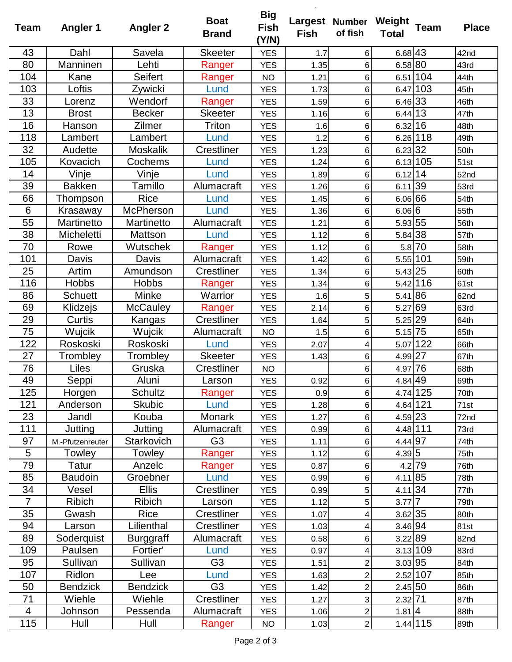| <b>Team</b>    | <b>Angler 1</b>  | <b>Angler 2</b>  | <b>Boat</b><br><b>Brand</b> | <b>Big</b><br><b>Fish</b><br>(Y/N) | <b>Fish</b> | Largest Number Weight<br>of fish | <b>Total</b> | <b>Team</b> | <b>Place</b> |
|----------------|------------------|------------------|-----------------------------|------------------------------------|-------------|----------------------------------|--------------|-------------|--------------|
| 43             | Dahl             | Savela           | <b>Skeeter</b>              | <b>YES</b>                         | 1.7         | 6                                | 6.68 43      |             | 42nd         |
| 80             | Manninen         | Lehti            | Ranger                      | <b>YES</b>                         | 1.35        | 6                                | 6.58 80      |             | 43rd         |
| 104            | Kane             | Seifert          | Ranger                      | <b>NO</b>                          | 1.21        | 6                                |              | 6.51 104    | 44th         |
| 103            | Loftis           | Zywicki          | Lund                        | <b>YES</b>                         | 1.73        | 6                                |              | 6.47 103    | 45th         |
| 33             | Lorenz           | Wendorf          | Ranger                      | <b>YES</b>                         | 1.59        | 6                                | 6.46 33      |             | 46th         |
| 13             | <b>Brost</b>     | <b>Becker</b>    | <b>Skeeter</b>              | <b>YES</b>                         | 1.16        | 6                                | $6.44$ 13    |             | 47th         |
| 16             | Hanson           | Zilmer           | Triton                      | <b>YES</b>                         | 1.6         | 6                                | 6.32 16      |             | 48th         |
| 118            | Lambert          | Lambert          | Lund                        | <b>YES</b>                         | 1.2         | 6                                |              | $6.26$ 118  | 49th         |
| 32             | Audette          | <b>Moskalik</b>  | Crestliner                  | <b>YES</b>                         | 1.23        | 6                                | 6.23 32      |             | 50th         |
| 105            | Kovacich         | Cochems          | Lund                        | <b>YES</b>                         | 1.24        | 6                                |              | 6.13 105    | 51st         |
| 14             | Vinje            | Vinje            | Lund                        | <b>YES</b>                         | 1.89        | 6                                | $6.12$ 14    |             | 52nd         |
| 39             | <b>Bakken</b>    | Tamillo          | Alumacraft                  | <b>YES</b>                         | 1.26        | 6                                | $6.11$  39   |             | 53rd         |
| 66             | Thompson         | <b>Rice</b>      | Lund                        | <b>YES</b>                         | 1.45        | 6                                | 6.06 66      |             | 54th         |
| 6              | Krasaway         | <b>McPherson</b> | Lund                        | <b>YES</b>                         | 1.36        | 6                                | 6.06 6       |             | 55th         |
| 55             | Martinetto       | Martinetto       | Alumacraft                  | <b>YES</b>                         | 1.21        | 6                                | 5.93 55      |             | 56th         |
| 38             | Micheletti       | Mattson          | Lund                        | <b>YES</b>                         | 1.12        | 6                                | 5.84 38      |             | 57th         |
| 70             | Rowe             | Wutschek         | Ranger                      | <b>YES</b>                         | 1.12        | 6                                |              | 5.8 70      | 58th         |
| 101            | Davis            | Davis            | Alumacraft                  | <b>YES</b>                         | 1.42        | 6                                |              | 5.55 101    | 59th         |
| 25             | Artim            | Amundson         | Crestliner                  | <b>YES</b>                         | 1.34        | 6                                | 5.43 25      |             | 60th         |
| 116            | <b>Hobbs</b>     | <b>Hobbs</b>     | Ranger                      | <b>YES</b>                         | 1.34        | 6                                |              | 5.42 116    | 61st         |
| 86             | <b>Schuett</b>   | Minke            | Warrior                     | <b>YES</b>                         | 1.6         | 5                                | 5.41 86      |             | 62nd         |
| 69             | Klidzejs         | <b>McCauley</b>  | Ranger                      | <b>YES</b>                         | 2.14        | 6                                | 5.27 69      |             | 63rd         |
| 29             | Curtis           | Kangas           | Crestliner                  | <b>YES</b>                         | 1.64        | 5                                | 5.25 29      |             | 64th         |
| 75             | Wujcik           | Wujcik           | Alumacraft                  | <b>NO</b>                          | 1.5         | 6                                | $5.15$ 75    |             | 65th         |
| 122            | Roskoski         | Roskoski         | Lund                        | <b>YES</b>                         | 2.07        | 4                                |              | 5.07 122    | 66th         |
| 27             | Trombley         | Trombley         | <b>Skeeter</b>              | <b>YES</b>                         | 1.43        | 6                                | 4.99 27      |             | 67th         |
| 76             | Liles            | Gruska           | Crestliner                  | <b>NO</b>                          |             | 6                                | 4.97 76      |             | 68th         |
| 49             | Seppi            | Aluni            | Larson                      | <b>YES</b>                         | 0.92        | 6                                | 4.84 49      |             | 69th         |
| 125            | Horgen           | Schultz          | Ranger                      | <b>YES</b>                         | 0.9         | 6                                |              | 4.74 125    | 70th         |
| 121            | Anderson         | <b>Skubic</b>    | Lund                        | <b>YES</b>                         | 1.28        | 6                                |              | 4.64 121    | 71st         |
| 23             | Jandl            | Kouba            | Monark                      | <b>YES</b>                         | 1.27        | 6                                | 4.59 23      |             | 72nd         |
| 111            | Jutting          | Jutting          | Alumacraft                  | <b>YES</b>                         | 0.99        | 6                                |              | 4.48 111    | 73rd         |
| 97             | M.-Pfutzenreuter | Starkovich       | G <sub>3</sub>              | <b>YES</b>                         | 1.11        | 6                                | 4.44 97      |             | 74th         |
| $\overline{5}$ | Towley           | Towley           | Ranger                      | <b>YES</b>                         | 1.12        | 6                                | 4.39 5       |             | 75th         |
| 79             | Tatur            | Anzelc           | Ranger                      | <b>YES</b>                         | 0.87        | 6                                |              | $4.2$ 79    | 76th         |
| 85             | <b>Baudoin</b>   | Groebner         | Lund                        | <b>YES</b>                         | 0.99        | 6                                | 4.11 85      |             | 78th         |
| 34             | Vesel            | <b>Ellis</b>     | Crestliner                  | <b>YES</b>                         | 0.99        | 5 <sup>1</sup>                   | 4.11 34      |             | 77th         |
| $\overline{7}$ | <b>Ribich</b>    | <b>Ribich</b>    | Larson                      | <b>YES</b>                         | 1.12        | 5 <sup>1</sup>                   | $3.77$ 7     |             | 79th         |
| 35             | Gwash            | Rice             | Crestliner                  | <b>YES</b>                         | 1.07        | 4                                | 3.62 35      |             | 80th         |
| 94             | Larson           | Lilienthal       | Crestliner                  | <b>YES</b>                         | 1.03        | $\overline{4}$                   | 3.46 94      |             | 81st         |
| 89             | Soderquist       | <b>Burggraff</b> | Alumacraft                  | <b>YES</b>                         | 0.58        | 6                                | 3.22 89      |             | 82nd         |
| 109            | Paulsen          | Fortier'         | Lund                        | <b>YES</b>                         | 0.97        | 4                                |              | 3.13 109    | 83rd         |
| 95             | Sullivan         | Sullivan         | G <sub>3</sub>              | <b>YES</b>                         | 1.51        | $\overline{2}$                   | 3.03 95      |             | 84th         |
| 107            | Ridlon           | Lee              | Lund                        | <b>YES</b>                         | 1.63        | $\overline{c}$                   |              | $2.52$ 107  | 85th         |
| 50             | <b>Bendzick</b>  | <b>Bendzick</b>  | G <sub>3</sub>              | <b>YES</b>                         | 1.42        | $\overline{2}$                   | 2.45 50      |             | 86th         |
| 71             | Wiehle           | Wiehle           | Crestliner                  | <b>YES</b>                         | 1.27        | 3                                | 2.32 71      |             | 87th         |
| $\overline{4}$ | Johnson          | Pessenda         | Alumacraft                  | <b>YES</b>                         | 1.06        | $\overline{2}$                   | 1.81   4     |             | 88th         |
| 115            | Hull             | Hull             | Ranger                      | <b>NO</b>                          | 1.03        | $\overline{2}$                   |              | $1.44$ 115  | 89th         |

 $\overline{\phantom{a}}$